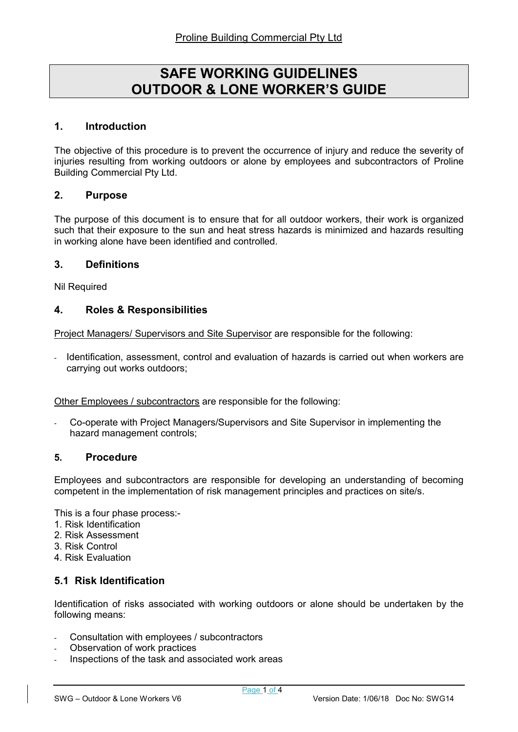# SAFE WORKING GUIDELINES OUTDOOR & LONE WORKER'S GUIDE

#### 1. Introduction

The objective of this procedure is to prevent the occurrence of injury and reduce the severity of injuries resulting from working outdoors or alone by employees and subcontractors of Proline Building Commercial Pty Ltd.

## 2. Purpose

The purpose of this document is to ensure that for all outdoor workers, their work is organized such that their exposure to the sun and heat stress hazards is minimized and hazards resulting in working alone have been identified and controlled.

#### 3. Definitions

Nil Required

#### 4. Roles & Responsibilities

Project Managers/ Supervisors and Site Supervisor are responsible for the following:

Identification, assessment, control and evaluation of hazards is carried out when workers are carrying out works outdoors;

Other Employees / subcontractors are responsible for the following:

- Co-operate with Project Managers/Supervisors and Site Supervisor in implementing the hazard management controls;

#### 5. Procedure

Employees and subcontractors are responsible for developing an understanding of becoming competent in the implementation of risk management principles and practices on site/s.

This is a four phase process:-

- 1. Risk Identification
- 2. Risk Assessment
- 3. Risk Control
- 4. Risk Evaluation

## 5.1 Risk Identification

Identification of risks associated with working outdoors or alone should be undertaken by the following means:

- Consultation with employees / subcontractors
- Observation of work practices
- Inspections of the task and associated work areas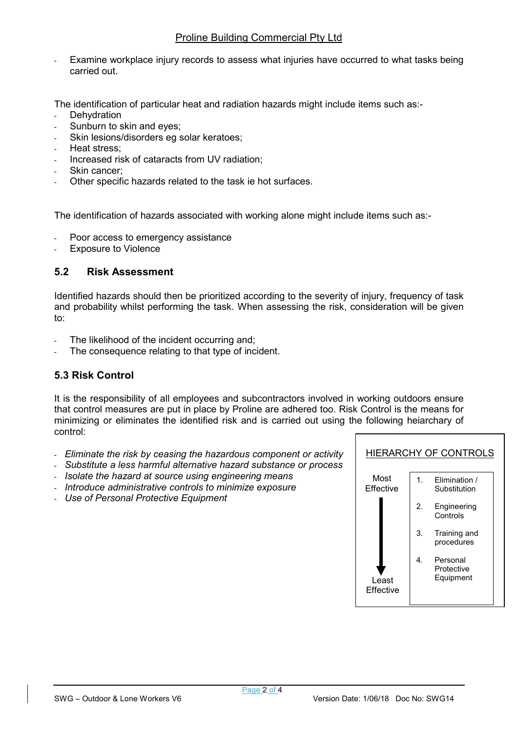## Proline Building Commercial Pty Ltd

Examine workplace injury records to assess what injuries have occurred to what tasks being carried out.

The identification of particular heat and radiation hazards might include items such as:-

- **Dehydration**
- Sunburn to skin and eyes;
- Skin lesions/disorders eg solar keratoes;
- Heat stress:
- Increased risk of cataracts from UV radiation;
- Skin cancer;
- Other specific hazards related to the task ie hot surfaces.

The identification of hazards associated with working alone might include items such as:-

- Poor access to emergency assistance
- **Exposure to Violence**

## 5.2 Risk Assessment

Identified hazards should then be prioritized according to the severity of injury, frequency of task and probability whilst performing the task. When assessing the risk, consideration will be given to:

- The likelihood of the incident occurring and;
- The consequence relating to that type of incident.

# 5.3 Risk Control

It is the responsibility of all employees and subcontractors involved in working outdoors ensure that control measures are put in place by Proline are adhered too. Risk Control is the means for minimizing or eliminates the identified risk and is carried out using the following heiarchary of control:

- Eliminate the risk by ceasing the hazardous component or activity
- Substitute a less harmful alternative hazard substance or process
- Isolate the hazard at source using engineering means
- Introduce administrative controls to minimize exposure
- Use of Personal Protective Equipment

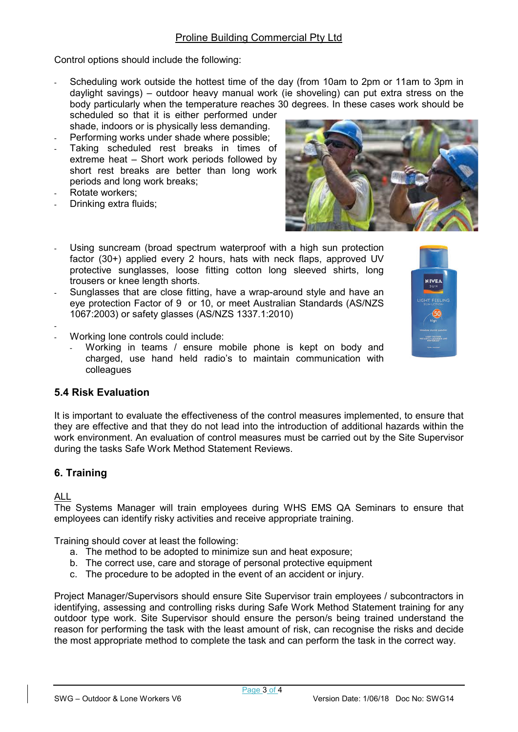Control options should include the following:

- Scheduling work outside the hottest time of the day (from 10am to 2pm or 11am to 3pm in daylight savings) – outdoor heavy manual work (ie shoveling) can put extra stress on the body particularly when the temperature reaches 30 degrees. In these cases work should be
- scheduled so that it is either performed under shade, indoors or is physically less demanding.
- Performing works under shade where possible;
- Taking scheduled rest breaks in times of extreme heat – Short work periods followed by short rest breaks are better than long work periods and long work breaks;
- Rotate workers:
- Drinking extra fluids;



- Using suncream (broad spectrum waterproof with a high sun protection factor (30+) applied every 2 hours, hats with neck flaps, approved UV protective sunglasses, loose fitting cotton long sleeved shirts, long trousers or knee length shorts.
- Sunglasses that are close fitting, have a wrap-around style and have an eye protection Factor of 9 or 10, or meet Australian Standards (AS/NZS 1067:2003) or safety glasses (AS/NZS 1337.1:2010)



- -
- Working lone controls could include:
	- Working in teams / ensure mobile phone is kept on body and charged, use hand held radio's to maintain communication with colleagues

# 5.4 Risk Evaluation

It is important to evaluate the effectiveness of the control measures implemented, to ensure that they are effective and that they do not lead into the introduction of additional hazards within the work environment. An evaluation of control measures must be carried out by the Site Supervisor during the tasks Safe Work Method Statement Reviews.

# 6. Training

#### ALL

The Systems Manager will train employees during WHS EMS QA Seminars to ensure that employees can identify risky activities and receive appropriate training.

Training should cover at least the following:

- a. The method to be adopted to minimize sun and heat exposure;
- b. The correct use, care and storage of personal protective equipment
- c. The procedure to be adopted in the event of an accident or injury.

Project Manager/Supervisors should ensure Site Supervisor train employees / subcontractors in identifying, assessing and controlling risks during Safe Work Method Statement training for any outdoor type work. Site Supervisor should ensure the person/s being trained understand the reason for performing the task with the least amount of risk, can recognise the risks and decide the most appropriate method to complete the task and can perform the task in the correct way.